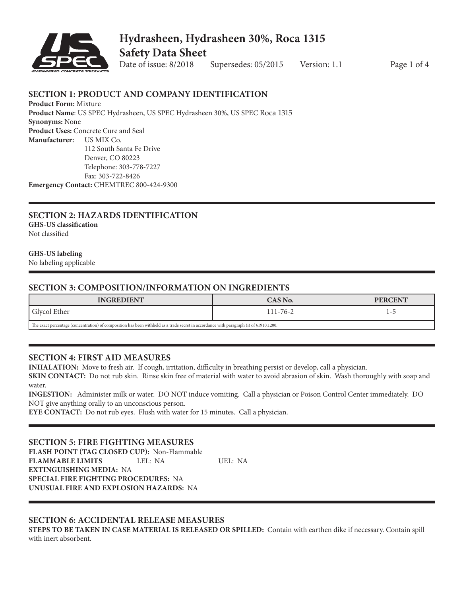

## **Hydrasheen, Hydrasheen 30%, Roca 1315 Safety Data Sheet**

Date of issue: 8/2018 Supersedes: 05/2015 Version: 1.1 Page 1 of 4

#### **SECTION 1: PRODUCT AND COMPANY IDENTIFICATION**

**Product Form:** Mixture **Product Name**: US SPEC Hydrasheen, US SPEC Hydrasheen 30%, US SPEC Roca 1315 **Synonyms:** None **Product Uses:** Concrete Cure and Seal **Manufacturer:** US MIX Co. 112 South Santa Fe Drive Denver, CO 80223 Telephone: 303-778-7227 Fax: 303-722-8426

**Emergency Contact:** CHEMTREC 800-424-9300

### **SECTION 2: HAZARDS IDENTIFICATION GHS-US classification**

Not classified

#### **GHS-US labeling**

No labeling applicable

#### **SECTION 3: COMPOSITION/INFORMATION ON INGREDIENTS**

| <b>INGREDIENT</b>                                                                                                                       | CAS No.        | <b>PERCENT</b> |
|-----------------------------------------------------------------------------------------------------------------------------------------|----------------|----------------|
| Glycol Ether                                                                                                                            | $111 - 76 - 2$ |                |
| The exact percentage (concentration) of composition has been withheld as a trade secret in accordance with paragraph (i) of §1910.1200. |                |                |

#### **SECTION 4: FIRST AID MEASURES**

**INHALATION:** Move to fresh air. If cough, irritation, difficulty in breathing persist or develop, call a physician.

**SKIN CONTACT:** Do not rub skin. Rinse skin free of material with water to avoid abrasion of skin. Wash thoroughly with soap and water.

**INGESTION:** Administer milk or water. DO NOT induce vomiting. Call a physician or Poison Control Center immediately. DO NOT give anything orally to an unconscious person.

**EYE CONTACT:** Do not rub eyes. Flush with water for 15 minutes. Call a physician.

#### **SECTION 5: FIRE FIGHTING MEASURES**

**FLASH POINT (TAG CLOSED CUP):** Non-Flammable **FLAMMABLE LIMITS** LEL: NA UEL: NA **EXTINGUISHING MEDIA:** NA **SPECIAL FIRE FIGHTING PROCEDURES:** NA **UNUSUAL FIRE AND EXPLOSION HAZARDS:** NA

#### **SECTION 6: ACCIDENTAL RELEASE MEASURES**

**STEPS TO BE TAKEN IN CASE MATERIAL IS RELEASED OR SPILLED:** Contain with earthen dike if necessary. Contain spill with inert absorbent.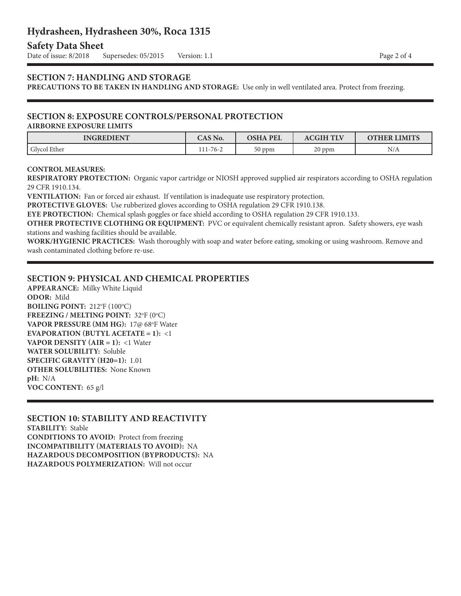## **Hydrasheen, Hydrasheen 30%, Roca 1315**

## **Safety Data Sheet**<br>Date of issue: 8/2018

Supersedes: 05/2015 Version: 1.1 **Page 2 of 4** 

#### **SECTION 7: HANDLING AND STORAGE**

**PRECAUTIONS TO BE TAKEN IN HANDLING AND STORAGE:** Use only in well ventilated area. Protect from freezing.

## **SECTION 8: EXPOSURE CONTROLS/PERSONAL PROTECTION**

#### **AIRBORNE EXPOSURE LIMITS**

| <b>INGREDIENT</b>         | CAS No.  | <b>OSHA PEL</b> | <b>CGIH TLV</b> | <b>OTHER LIMITS</b> |
|---------------------------|----------|-----------------|-----------------|---------------------|
| <sup>1</sup> Glvcol Ether | 111-76-2 | 50 ppm          | 20 ppm          | N/A                 |

#### **CONTROL MEASURES:**

**RESPIRATORY PROTECTION:** Organic vapor cartridge or NIOSH approved supplied air respirators according to OSHA regulation 29 CFR 1910.134.

**VENTILATION:** Fan or forced air exhaust. If ventilation is inadequate use respiratory protection.

**PROTECTIVE GLOVES:** Use rubberized gloves according to OSHA regulation 29 CFR 1910.138.

**EYE PROTECTION:** Chemical splash goggles or face shield according to OSHA regulation 29 CFR 1910.133.

**OTHER PROTECTIVE CLOTHING OR EQUIPMENT:** PVC or equivalent chemically resistant apron. Safety showers, eye wash stations and washing facilities should be available.

**WORK/HYGIENIC PRACTICES:** Wash thoroughly with soap and water before eating, smoking or using washroom. Remove and wash contaminated clothing before re-use.

#### **SECTION 9: PHYSICAL AND CHEMICAL PROPERTIES**

**APPEARANCE:** Milky White Liquid **ODOR:** Mild **BOILING POINT:** 212°F (100°C) **FREEZING / MELTING POINT: 32°F (0°C) VAPOR PRESSURE (MM HG):** 17@ 68°F Water **EVAPORATION (BUTYL ACETATE = 1):** <1 **VAPOR DENSITY (AIR = 1):** <1 Water **WATER SOLUBILITY:** Soluble **SPECIFIC GRAVITY (H20=1):** 1.01 **OTHER SOLUBILITIES:** None Known **pH:** N/A **VOC CONTENT:** 65 g/l

**SECTION 10: STABILITY AND REACTIVITY STABILITY:** Stable **CONDITIONS TO AVOID:** Protect from freezing **INCOMPATIBILITY (MATERIALS TO AVOID):** NA **HAZARDOUS DECOMPOSITION (BYPRODUCTS):** NA **HAZARDOUS POLYMERIZATION:** Will not occur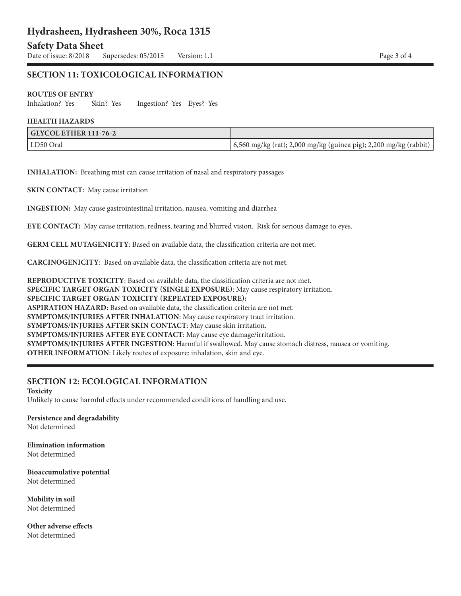## **Hydrasheen, Hydrasheen 30%, Roca 1315**

# **Safety Data Sheet**<br>Date of issue: 8/2018

Supersedes: 05/2015 Version: 1.1 Page 3 of 4

#### **SECTION 11: TOXICOLOGICAL INFORMATION**

#### **ROUTES OF ENTRY**

Inhalation? Yes Skin? Yes Ingestion? Yes Eyes? Yes

#### **HEALTH HAZARDS**

| $\mid$ GLYCOL ETHER 111-76-2 |                                                                   |
|------------------------------|-------------------------------------------------------------------|
| LD50 Oral                    | 6,560 mg/kg (rat); 2,000 mg/kg (guinea pig); 2,200 mg/kg (rabbit) |

**INHALATION:** Breathing mist can cause irritation of nasal and respiratory passages

**SKIN CONTACT:** May cause irritation

**INGESTION:** May cause gastrointestinal irritation, nausea, vomiting and diarrhea

**EYE CONTACT:** May cause irritation, redness, tearing and blurred vision. Risk for serious damage to eyes.

**GERM CELL MUTAGENICITY**: Based on available data, the classification criteria are not met.

**CARCINOGENICITY**: Based on available data, the classification criteria are not met.

**REPRODUCTIVE TOXICITY**: Based on available data, the classification criteria are not met. **SPECIFIC TARGET ORGAN TOXICITY (SINGLE EXPOSURE)**: May cause respiratory irritation. **SPECIFIC TARGET ORGAN TOXICITY (REPEATED EXPOSURE): ASPIRATION HAZARD:** Based on available data, the classification criteria are not met. **SYMPTOMS/INJURIES AFTER INHALATION**: May cause respiratory tract irritation. **SYMPTOMS/INJURIES AFTER SKIN CONTACT**: May cause skin irritation. **SYMPTOMS/INJURIES AFTER EYE CONTACT**: May cause eye damage/irritation. **SYMPTOMS/INJURIES AFTER INGESTION**: Harmful if swallowed. May cause stomach distress, nausea or vomiting. **OTHER INFORMATION**: Likely routes of exposure: inhalation, skin and eye.

#### **SECTION 12: ECOLOGICAL INFORMATION**

**Toxicity** Unlikely to cause harmful effects under recommended conditions of handling and use.

**Persistence and degradability** Not determined

**Elimination information** Not determined

**Bioaccumulative potential** Not determined

**Mobility in soil** Not determined

**Other adverse effects** Not determined